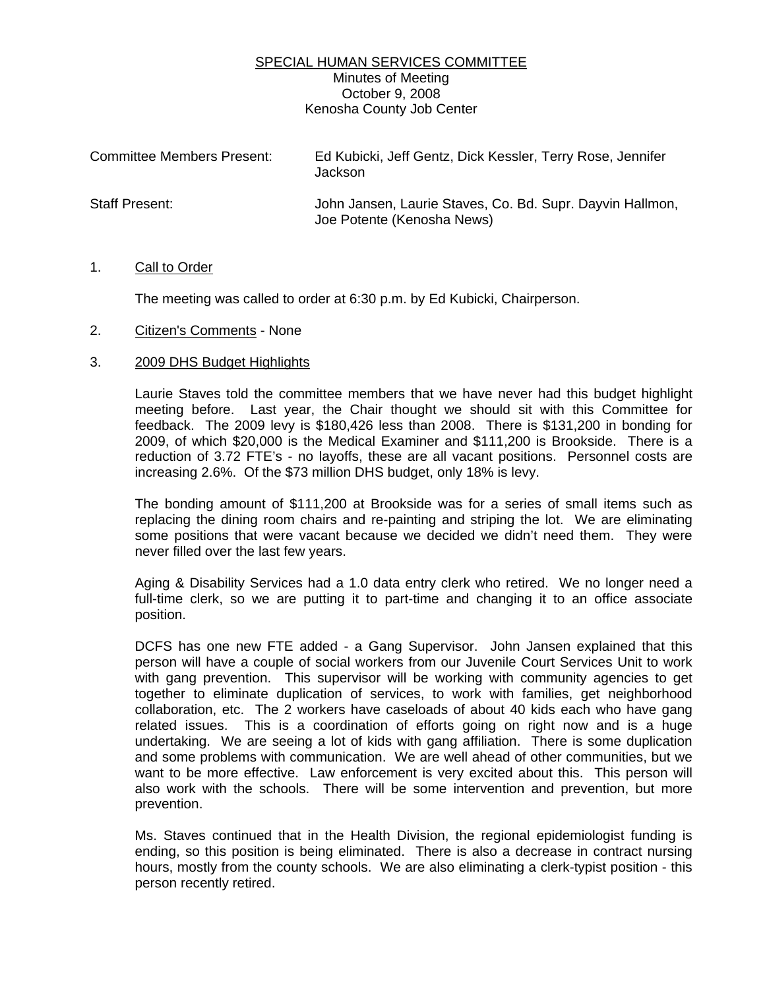## SPECIAL HUMAN SERVICES COMMITTEE Minutes of Meeting October 9, 2008 Kenosha County Job Center

| <b>Committee Members Present:</b> | Ed Kubicki, Jeff Gentz, Dick Kessler, Terry Rose, Jennifer<br>Jackson                   |
|-----------------------------------|-----------------------------------------------------------------------------------------|
| Staff Present:                    | John Jansen, Laurie Staves, Co. Bd. Supr. Dayvin Hallmon,<br>Joe Potente (Kenosha News) |

## 1. Call to Order

The meeting was called to order at 6:30 p.m. by Ed Kubicki, Chairperson.

## 2. Citizen's Comments - None

## 3. 2009 DHS Budget Highlights

 Laurie Staves told the committee members that we have never had this budget highlight meeting before. Last year, the Chair thought we should sit with this Committee for feedback. The 2009 levy is \$180,426 less than 2008. There is \$131,200 in bonding for 2009, of which \$20,000 is the Medical Examiner and \$111,200 is Brookside. There is a reduction of 3.72 FTE's - no layoffs, these are all vacant positions. Personnel costs are increasing 2.6%. Of the \$73 million DHS budget, only 18% is levy.

 The bonding amount of \$111,200 at Brookside was for a series of small items such as replacing the dining room chairs and re-painting and striping the lot. We are eliminating some positions that were vacant because we decided we didn't need them. They were never filled over the last few years.

 Aging & Disability Services had a 1.0 data entry clerk who retired. We no longer need a full-time clerk, so we are putting it to part-time and changing it to an office associate position.

 DCFS has one new FTE added - a Gang Supervisor. John Jansen explained that this person will have a couple of social workers from our Juvenile Court Services Unit to work with gang prevention. This supervisor will be working with community agencies to get together to eliminate duplication of services, to work with families, get neighborhood collaboration, etc. The 2 workers have caseloads of about 40 kids each who have gang related issues. This is a coordination of efforts going on right now and is a huge undertaking. We are seeing a lot of kids with gang affiliation. There is some duplication and some problems with communication. We are well ahead of other communities, but we want to be more effective. Law enforcement is very excited about this. This person will also work with the schools. There will be some intervention and prevention, but more prevention.

 Ms. Staves continued that in the Health Division, the regional epidemiologist funding is ending, so this position is being eliminated. There is also a decrease in contract nursing hours, mostly from the county schools. We are also eliminating a clerk-typist position - this person recently retired.